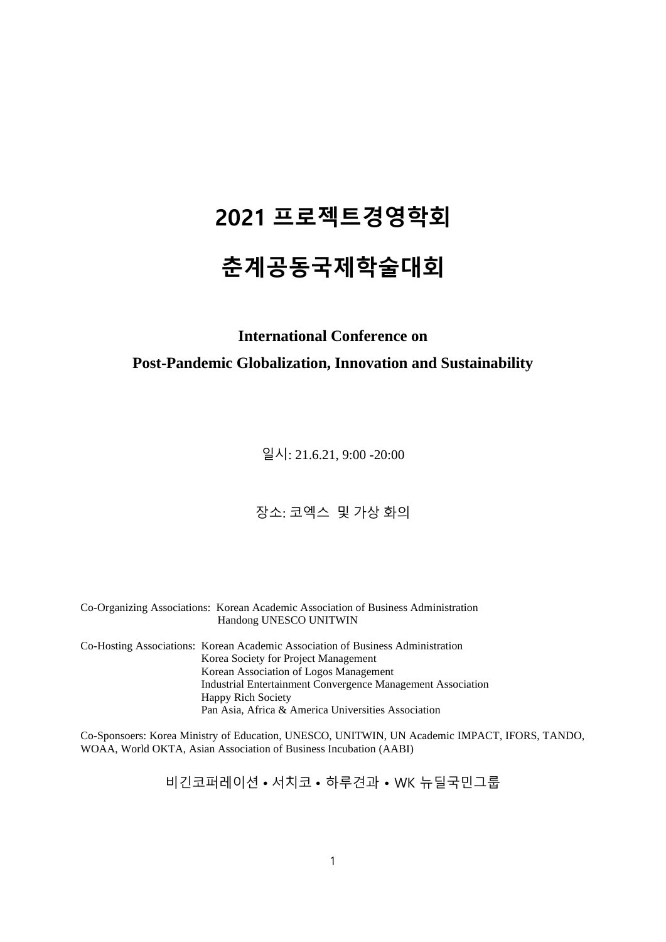# **2021 프로젝트경영학회**

## **춘계공동국제학술대회**

## **International Conference on**

#### **Post-Pandemic Globalization, Innovation and Sustainability**

일시: 21.6.21, 9:00 -20:00

#### 장소: 코엑스 및 가상 화의

Co-Organizing Associations: Korean Academic Association of Business Administration Handong UNESCO UNITWIN

Co-Hosting Associations: Korean Academic Association of Business Administration Korea Society for Project Management Korean Association of Logos Management Industrial Entertainment Convergence Management Association Happy Rich Society Pan Asia, Africa & America Universities Association

Co-Sponsoers: Korea Ministry of Education, UNESCO, UNITWIN, UN Academic IMPACT, IFORS, TANDO, WOAA, World OKTA, Asian Association of Business Incubation (AABI)

비긴코퍼레이션 • 서치코 • 하루견과 • WK 뉴딜국민그룹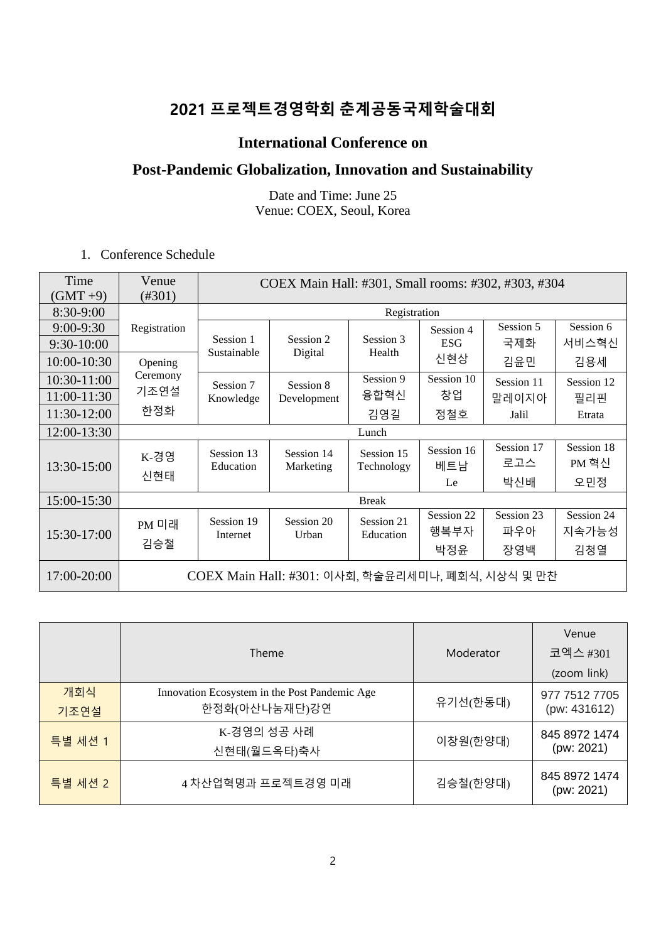## **2021 프로젝트경영학회 춘계공동국제학술대회**

#### **International Conference on**

## **Post-Pandemic Globalization, Innovation and Sustainability**

Date and Time: June 25 Venue: COEX, Seoul, Korea

1. Conference Schedule

| Time<br>$(GMT + 9)$         | Venue<br>$(\#301)$                                |                         | COEX Main Hall: #301, Small rooms: #302, #303, #304 |                          |                           |                          |                            |  |
|-----------------------------|---------------------------------------------------|-------------------------|-----------------------------------------------------|--------------------------|---------------------------|--------------------------|----------------------------|--|
| 8:30-9:00                   | Registration                                      |                         |                                                     |                          |                           |                          |                            |  |
| $9:00 - 9:30$<br>9:30-10:00 | Registration                                      | Session 1               | Session 2                                           | Session 3                | Session 4<br><b>ESG</b>   | Session 5<br>국제화         | Session 6<br>서비스혁신         |  |
| 10:00-10:30                 | Opening                                           | Sustainable             | Digital                                             | Health                   | 신현상                       | 김윤민                      | 김용세                        |  |
| 10:30-11:00<br>11:00-11:30  | Ceremony<br>기조연설<br>한정화                           | Session 7<br>Knowledge  | Session 8<br>Development                            | Session 9<br>융합혁신        | Session 10<br>창업          | Session 11<br>말레이지아      | Session 12<br>필리핀          |  |
| 11:30-12:00                 |                                                   |                         |                                                     | 김영길                      | 정철호                       | Jalil                    | Etrata                     |  |
| 12:00-13:30                 |                                                   |                         |                                                     | Lunch                    |                           |                          |                            |  |
| 13:30-15:00                 | K-경영<br>신현태                                       | Session 13<br>Education | Session 14<br>Marketing                             | Session 15<br>Technology | Session 16<br>베트남<br>Le   | Session 17<br>로고스<br>박신배 | Session 18<br>PM 혁신<br>오민정 |  |
| 15:00-15:30                 |                                                   |                         |                                                     | <b>Break</b>             |                           |                          |                            |  |
| 15:30-17:00                 | PM 미래<br>김승철                                      | Session 19<br>Internet  | Session 20<br>Urban                                 | Session 21<br>Education  | Session 22<br>행복부자<br>박정윤 | Session 23<br>파우아<br>장영백 | Session 24<br>지속가능성<br>김청열 |  |
| 17:00-20:00                 | COEX Main Hall: #301: 이사회, 학술윤리세미나, 폐회식, 시상식 및 만찬 |                         |                                                     |                          |                           |                          |                            |  |

|             | Theme                                                          | Moderator | Venue<br>코엑스 #301             |
|-------------|----------------------------------------------------------------|-----------|-------------------------------|
|             |                                                                |           | (zoom link)                   |
| 개회식<br>기조연설 | Innovation Ecosystem in the Post Pandemic Age<br>한정화(아산나눔재단)강연 | 유기선(한동대)  | 977 7512 7705<br>(pw: 431612) |
| 특별 세션 1     | K-경영의 성공 사례<br>신현태(월드옥타)축사                                     | 이창원(한양대)  | 845 8972 1474<br>(pw: 2021)   |
| 특별 세션 2     | 4 차산업혁명과 프로젝트경영 미래                                             | 김승철(한양대)  | 845 8972 1474<br>(pw: 2021)   |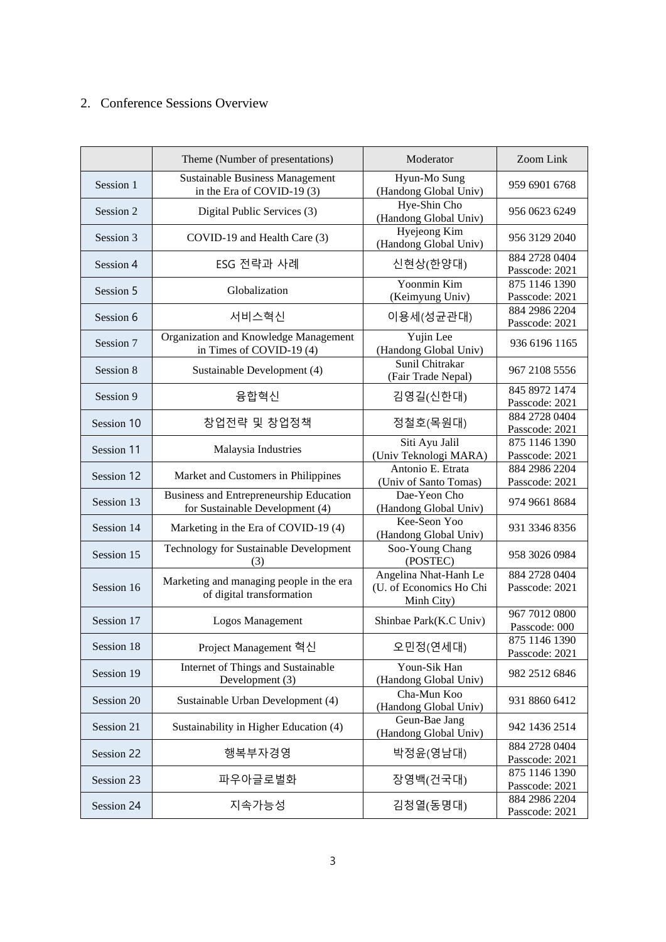#### 2. Conference Sessions Overview

|            | Theme (Number of presentations)                                            | Moderator                                                      | Zoom Link                       |
|------------|----------------------------------------------------------------------------|----------------------------------------------------------------|---------------------------------|
| Session 1  | <b>Sustainable Business Management</b><br>in the Era of COVID-19 (3)       | Hyun-Mo Sung<br>(Handong Global Univ)                          | 959 6901 6768                   |
| Session 2  | Digital Public Services (3)                                                | Hye-Shin Cho<br>(Handong Global Univ)                          | 956 0623 6249                   |
| Session 3  | COVID-19 and Health Care (3)                                               | Hyejeong Kim<br>(Handong Global Univ)                          | 956 3129 2040                   |
| Session 4  | ESG 전략과 사례                                                                 | 신현상(한양대)                                                       | 884 2728 0404<br>Passcode: 2021 |
| Session 5  | Globalization                                                              | Yoonmin Kim<br>(Keimyung Univ)                                 | 875 1146 1390<br>Passcode: 2021 |
| Session 6  | 서비스혁신                                                                      | 이용세(성균관대)                                                      | 884 2986 2204<br>Passcode: 2021 |
| Session 7  | Organization and Knowledge Management<br>in Times of COVID-19 (4)          | Yujin Lee<br>(Handong Global Univ)                             | 936 6196 1165                   |
| Session 8  | Sustainable Development (4)                                                | Sunil Chitrakar<br>(Fair Trade Nepal)                          | 967 2108 5556                   |
| Session 9  | 융합혁신                                                                       | 김영길(신한대)                                                       | 845 8972 1474<br>Passcode: 2021 |
| Session 10 | 창업전략 및 창업정책                                                                | 정철호(목원대)                                                       | 884 2728 0404<br>Passcode: 2021 |
| Session 11 | Malaysia Industries                                                        | Siti Ayu Jalil<br>(Univ Teknologi MARA)                        | 875 1146 1390<br>Passcode: 2021 |
| Session 12 | Market and Customers in Philippines                                        | Antonio E. Etrata<br>(Univ of Santo Tomas)                     | 884 2986 2204<br>Passcode: 2021 |
| Session 13 | Business and Entrepreneurship Education<br>for Sustainable Development (4) | Dae-Yeon Cho<br>(Handong Global Univ)                          | 974 9661 8684                   |
| Session 14 | Marketing in the Era of COVID-19 (4)                                       | Kee-Seon Yoo<br>(Handong Global Univ)                          | 931 3346 8356                   |
| Session 15 | Technology for Sustainable Development<br>(3)                              | Soo-Young Chang<br>(POSTEC)                                    | 958 3026 0984                   |
| Session 16 | Marketing and managing people in the era<br>of digital transformation      | Angelina Nhat-Hanh Le<br>(U. of Economics Ho Chi<br>Minh City) | 884 2728 0404<br>Passcode: 2021 |
| Session 17 | Logos Management                                                           | Shinbae Park(K.C Univ)                                         | 967 7012 0800<br>Passcode: 000  |
| Session 18 | Project Management 혁신                                                      | 오민정(연세대)                                                       | 875 1146 1390<br>Passcode: 2021 |
| Session 19 | Internet of Things and Sustainable<br>Development (3)                      | Youn-Sik Han<br>(Handong Global Univ)                          | 982 2512 6846                   |
| Session 20 | Sustainable Urban Development (4)                                          | Cha-Mun Koo<br>(Handong Global Univ)                           | 931 8860 6412                   |
| Session 21 | Sustainability in Higher Education (4)                                     | Geun-Bae Jang<br>(Handong Global Univ)                         | 942 1436 2514                   |
| Session 22 | 행복부자경영                                                                     | 박정윤(영남대)                                                       | 884 2728 0404<br>Passcode: 2021 |
| Session 23 | 파우아글로벌화                                                                    | 장영백(건국대)                                                       | 875 1146 1390<br>Passcode: 2021 |
| Session 24 | 지속가능성                                                                      | 김청열(동명대)                                                       | 884 2986 2204<br>Passcode: 2021 |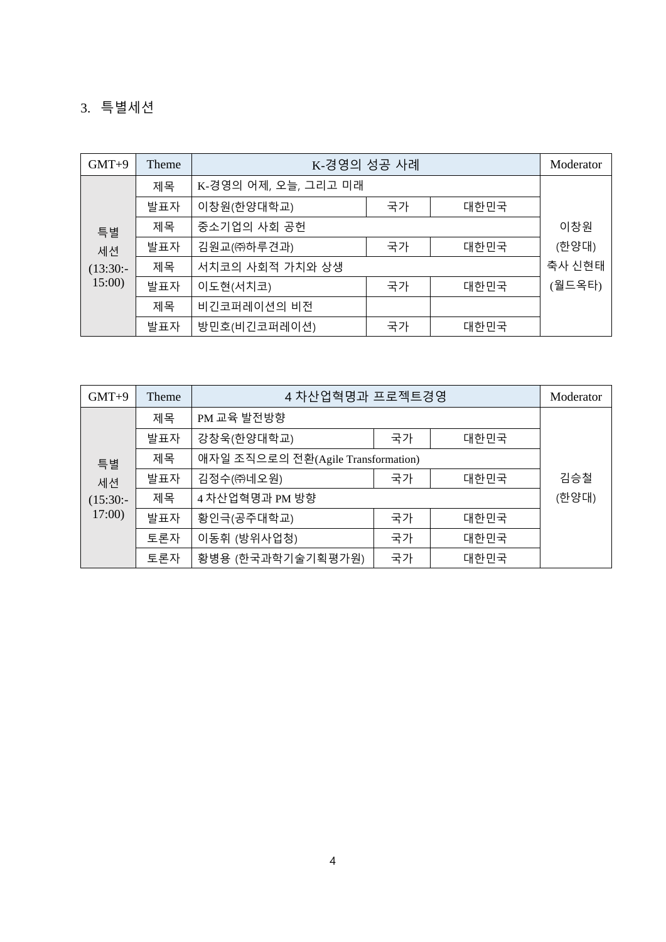## 3. 특별세션

| $GMT+9$    | Theme | K-경영의 성공 사례          | Moderator |      |        |
|------------|-------|----------------------|-----------|------|--------|
|            | 제목    | K-경영의 어제, 오늘, 그리고 미래 |           |      |        |
|            | 발표자   | 이창원(한양대학교)           | 국가        | 대한민국 |        |
| 특별         | 제목    | 중소기업의 사회 공헌          |           |      | 이창원    |
| 세션         | 발표자   | 김원교(㈜하루견과)           | 국가        | 대한민국 | (한양대)  |
| $(13:30:-$ | 제목    | 서치코의 사회적 가치와 상생      |           |      | 축사 신현태 |
| 15:00      | 발표자   | 이도현(서치코)             | 국가        | 대한민국 | (월드옥타) |
|            | 제목    | 비긴코퍼레이션의 비전          |           |      |        |
|            | 발표자   | 방민호(비긴코퍼레이션)         | 국가        | 대한민국 |        |

| $GMT+9$    | Theme | 4 차산업혁명과 프로젝트경영                    | Moderator |      |     |
|------------|-------|------------------------------------|-----------|------|-----|
|            | 제목    | PM 교육 발전방향                         |           |      |     |
|            | 발표자   | 강창욱(한양대학교)                         | 국가        | 대한민국 |     |
| 특별         | 제목    | 애자일 조직으로의 전환(Agile Transformation) |           |      |     |
| 세션         | 발표자   | 김정수(㈜네오원)                          | 국가        | 대한민국 | 김승철 |
| $(15:30:-$ | 제목    | 4 차산업혁명과 PM 방향                     | (한양대)     |      |     |
| 17:00      | 발표자   | 황인극(공주대학교)                         | 국가        | 대한민국 |     |
|            | 토론자   | 이동휘 (방위사업청)                        | 국가        | 대한민국 |     |
|            | 토론자   | 황병용 (한국과학기술기획평가원)                  | 국가        | 대한민국 |     |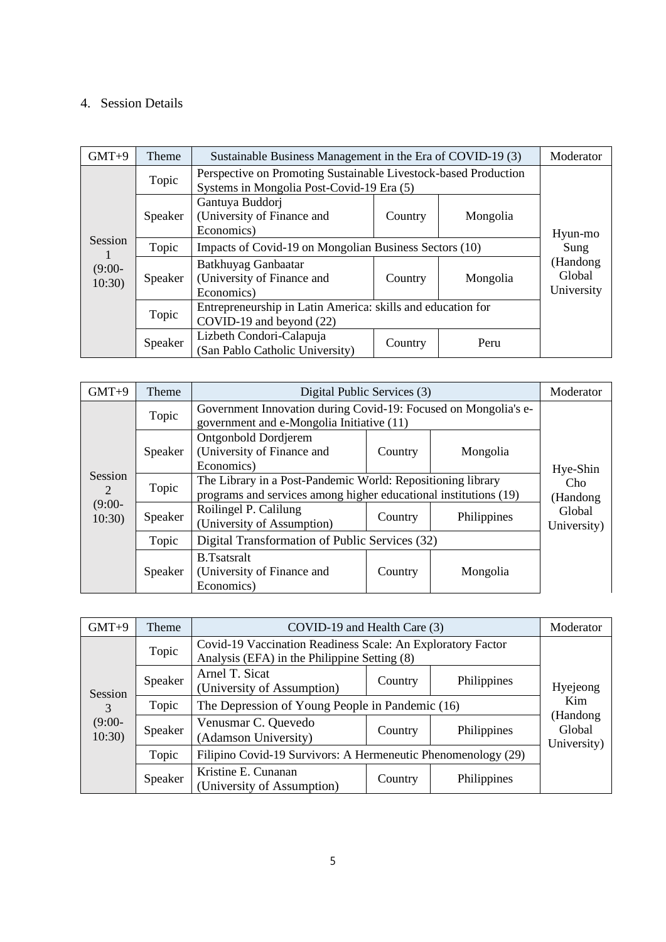#### 4. Session Details

| $GMT+9$           | Theme   | Sustainable Business Management in the Era of COVID-19 (3)                                                   | Moderator |          |                                  |
|-------------------|---------|--------------------------------------------------------------------------------------------------------------|-----------|----------|----------------------------------|
|                   | Topic   | Perspective on Promoting Sustainable Livestock-based Production<br>Systems in Mongolia Post-Covid-19 Era (5) |           |          |                                  |
|                   | Speaker | Gantuya Buddorj<br>(University of Finance and<br>Economics)                                                  | Country   | Mongolia | Hyun-mo                          |
| Session           | Topic   | Impacts of Covid-19 on Mongolian Business Sectors (10)                                                       | Sung      |          |                                  |
| $(9:00-$<br>10:30 | Speaker | Batkhuyag Ganbaatar<br>(University of Finance and<br>Economics)                                              | Country   | Mongolia | (Handong<br>Global<br>University |
|                   | Topic   | Entrepreneurship in Latin America: skills and education for<br>COVID-19 and beyond (22)                      |           |          |                                  |
|                   | Speaker | Lizbeth Condori-Calapuja<br>(San Pablo Catholic University)                                                  | Country   | Peru     |                                  |

| $GMT+9$            | Theme   | Digital Public Services (3)                                                                                                     |                  |             | Moderator             |
|--------------------|---------|---------------------------------------------------------------------------------------------------------------------------------|------------------|-------------|-----------------------|
|                    | Topic   | Government Innovation during Covid-19: Focused on Mongolia's e-<br>government and e-Mongolia Initiative (11)                    |                  |             |                       |
|                    | Speaker | <b>Ontgonbold Dordjerem</b><br>(University of Finance and<br>Economics)                                                         | Country          | Mongolia    | Hye-Shin              |
| Session<br>2       | Topic   | The Library in a Post-Pandemic World: Repositioning library<br>programs and services among higher educational institutions (19) | Cho<br>(Handong) |             |                       |
| $(9:00 -$<br>10:30 | Speaker | Roilingel P. Calilung<br>(University of Assumption)                                                                             | Country          | Philippines | Global<br>University) |
|                    | Topic   | Digital Transformation of Public Services (32)                                                                                  |                  |             |                       |
|                    | Speaker | <b>B.Tsatsralt</b><br>(University of Finance and<br>Economics)                                                                  | Country          |             |                       |

| $GMT+9$                           | Theme   | COVID-19 and Health Care (3)                                                                                | Moderator |             |                                   |
|-----------------------------------|---------|-------------------------------------------------------------------------------------------------------------|-----------|-------------|-----------------------------------|
| Session<br>3<br>$(9:00-$<br>10:30 | Topic   | Covid-19 Vaccination Readiness Scale: An Exploratory Factor<br>Analysis (EFA) in the Philippine Setting (8) |           |             |                                   |
|                                   | Speaker | Arnel T. Sicat<br>(University of Assumption)                                                                | Country   | Philippines | Hyejeong                          |
|                                   | Topic   | The Depression of Young People in Pandemic (16)                                                             | Kim       |             |                                   |
|                                   | Speaker | Venusmar C. Quevedo<br>(Adamson University)                                                                 | Country   | Philippines | (Handong<br>Global<br>University) |
|                                   | Topic   | Filipino Covid-19 Survivors: A Hermeneutic Phenomenology (29)                                               |           |             |                                   |
|                                   | Speaker | Kristine E. Cunanan<br>(University of Assumption)                                                           | Country   | Philippines |                                   |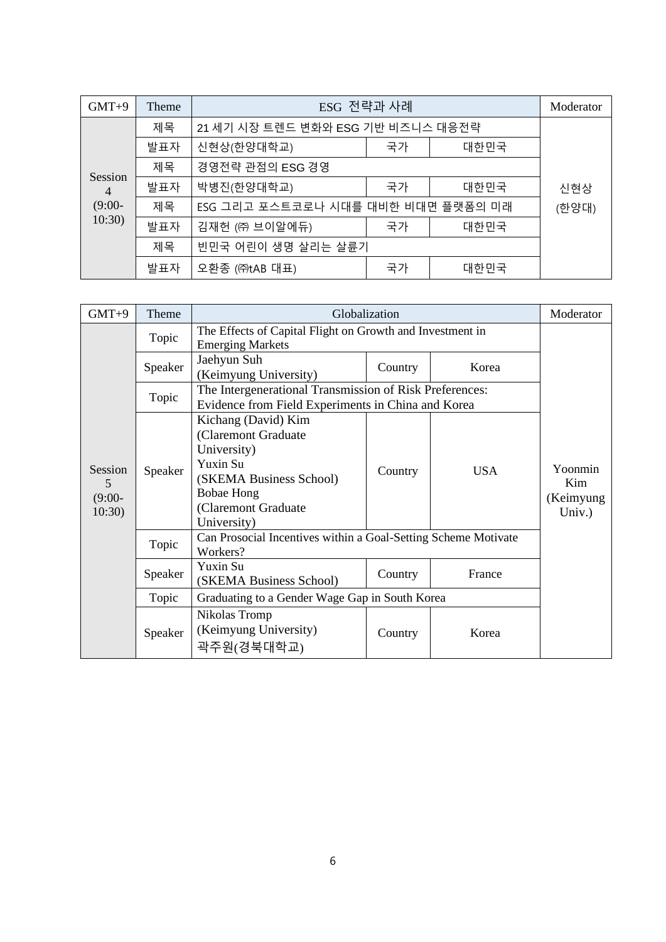| $GMT+9$                   | Theme | ESG 전략과 사례                         |       |      | Moderator |
|---------------------------|-------|------------------------------------|-------|------|-----------|
|                           | 제목    | 21 세기 시장 트렌드 변화와 ESG 기반 비즈니스 대응전략  |       |      |           |
|                           | 발표자   | 신현상(한양대학교)                         | 국가    | 대한민국 |           |
|                           | 제목    | 경영전략 관점의 ESG 경영                    |       |      |           |
| Session<br>$\overline{4}$ | 발표자   | 박병진(한양대학교)                         | 국가    | 대한민국 | 신현상       |
| $(9:00-$                  | 제목    | ESG 그리고 포스트코로나 시대를 대비한 비대면 플랫폼의 미래 | (한양대) |      |           |
| 10:30)                    | 발표자   | 김재헌 (㈜ 브이알에듀)                      | 국가    | 대한민국 |           |
|                           | 제목    | 빈민국 어린이 생명 살리는 살륜기                 |       |      |           |
|                           | 발표자   | 오환종 (㈜tAB 대표)                      | 국가    | 대한민국 |           |

| $GMT+9$                            | Theme   |                                                                                                                                                                   | Globalization                                                                                                 |            | Moderator                             |  |  |
|------------------------------------|---------|-------------------------------------------------------------------------------------------------------------------------------------------------------------------|---------------------------------------------------------------------------------------------------------------|------------|---------------------------------------|--|--|
|                                    | Topic   | The Effects of Capital Flight on Growth and Investment in<br><b>Emerging Markets</b>                                                                              |                                                                                                               |            |                                       |  |  |
|                                    | Speaker | Jaehyun Suh<br>(Keimyung University)                                                                                                                              | Country                                                                                                       | Korea      |                                       |  |  |
|                                    | Topic   |                                                                                                                                                                   | The Intergenerational Transmission of Risk Preferences:<br>Evidence from Field Experiments in China and Korea |            |                                       |  |  |
| Session<br>5<br>$(9:00 -$<br>10:30 | Speaker | Kichang (David) Kim<br>(Claremont Graduate<br>University)<br>Yuxin Su<br>(SKEMA Business School)<br><b>Bobae Hong</b><br><b>Claremont Graduate</b><br>University) | Country                                                                                                       | <b>USA</b> | Yoonmin<br>Kim<br>(Keimyung<br>Univ.) |  |  |
|                                    | Topic   | Can Prosocial Incentives within a Goal-Setting Scheme Motivate<br>Workers?                                                                                        |                                                                                                               |            |                                       |  |  |
|                                    | Speaker | Yuxin Su<br>(SKEMA Business School)                                                                                                                               | Country                                                                                                       | France     |                                       |  |  |
|                                    | Topic   | Graduating to a Gender Wage Gap in South Korea                                                                                                                    |                                                                                                               |            |                                       |  |  |
|                                    | Speaker | Nikolas Tromp<br>(Keimyung University)<br>곽주원(경북대학교)                                                                                                              | Country                                                                                                       | Korea      |                                       |  |  |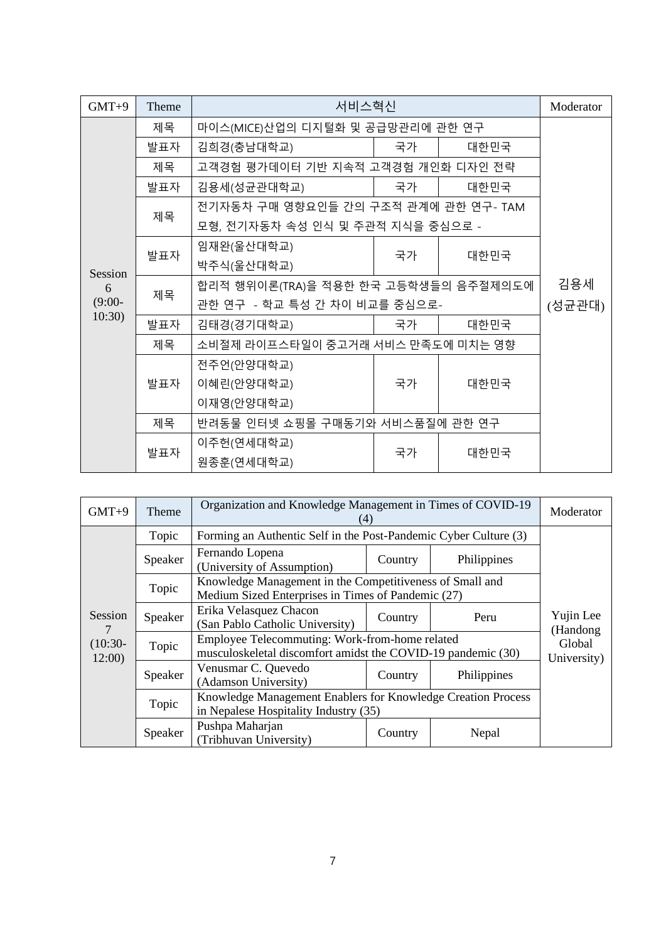| $GMT+9$   | Theme | 서비스혁신                                | Moderator |      |  |
|-----------|-------|--------------------------------------|-----------|------|--|
|           | 제목    | 마이스(MICE)산업의 디지털화 및 공급망관리에 관한 연구     |           |      |  |
|           | 발표자   | 김희경(충남대학교)                           | 국가        | 대한민국 |  |
|           | 제목    | 고객경험 평가데이터 기반 지속적 고객경험 개인화 디자인 전략    |           |      |  |
|           | 발표자   | 김용세(성균관대학교)                          | 국가        | 대한민국 |  |
|           | 제목    | 전기자동차 구매 영향요인들 간의 구조적 관계에 관한 연구- TAM |           |      |  |
|           |       | 모형, 전기자동차 속성 인식 및 주관적 지식을 중심으로 -     |           |      |  |
|           | 발표자   | 임재완(울산대학교)                           | 국가        | 대한민국 |  |
| Session   |       | 박주식(울산대학교)                           |           |      |  |
| 6         | 제목    | 합리적 행위이론(TRA)을 적용한 한국 고등학생들의 음주절제의도에 | 김용세       |      |  |
| $(9:00 -$ |       | 관한 연구 - 학교 특성 간 차이 비교를 중심으로-         | (성균관대)    |      |  |
| 10:30)    | 발표자   | 김태경(경기대학교)                           | 국가        | 대한민국 |  |
|           | 제목    | 소비절제 라이프스타일이 중고거래 서비스 만족도에 미치는 영향    |           |      |  |
|           |       | 전주언(안양대학교)                           |           |      |  |
|           | 발표자   | 이혜린(안양대학교)                           | 국가        | 대한민국 |  |
|           |       | 이재영(안양대학교)                           |           |      |  |
|           | 제목    | 반려동물 인터넷 쇼핑몰 구매동기와 서비스품질에 관한 연구      |           |      |  |
|           | 발표자   | 이주헌(연세대학교)                           | 국가        | 대한민국 |  |
|           |       | 원종훈(연세대학교)                           |           |      |  |

| $GMT+9$            | Theme   | Organization and Knowledge Management in Times of COVID-19<br>(4)                                              |                       |             | Moderator             |
|--------------------|---------|----------------------------------------------------------------------------------------------------------------|-----------------------|-------------|-----------------------|
|                    | Topic   | Forming an Authentic Self in the Post-Pandemic Cyber Culture (3)                                               |                       |             |                       |
|                    | Speaker | Fernando Lopena<br>(University of Assumption)                                                                  | Country               | Philippines |                       |
|                    | Topic   | Knowledge Management in the Competitiveness of Small and<br>Medium Sized Enterprises in Times of Pandemic (27) |                       |             |                       |
| Session<br>7       | Speaker | Erika Velasquez Chacon<br>(San Pablo Catholic University)                                                      | Country               | Peru        | Yujin Lee<br>(Handong |
| $(10:30-$<br>12:00 | Topic   | Employee Telecommuting: Work-from-home related<br>musculoskeletal discomfort amidst the COVID-19 pandemic (30) | Global<br>University) |             |                       |
|                    | Speaker | Venusmar C. Quevedo<br>(Adamson University)                                                                    | Country               | Philippines |                       |
|                    | Topic   | Knowledge Management Enablers for Knowledge Creation Process<br>in Nepalese Hospitality Industry (35)          |                       |             |                       |
|                    | Speaker | Pushpa Maharjan<br>(Tribhuvan University)                                                                      | Country               | Nepal       |                       |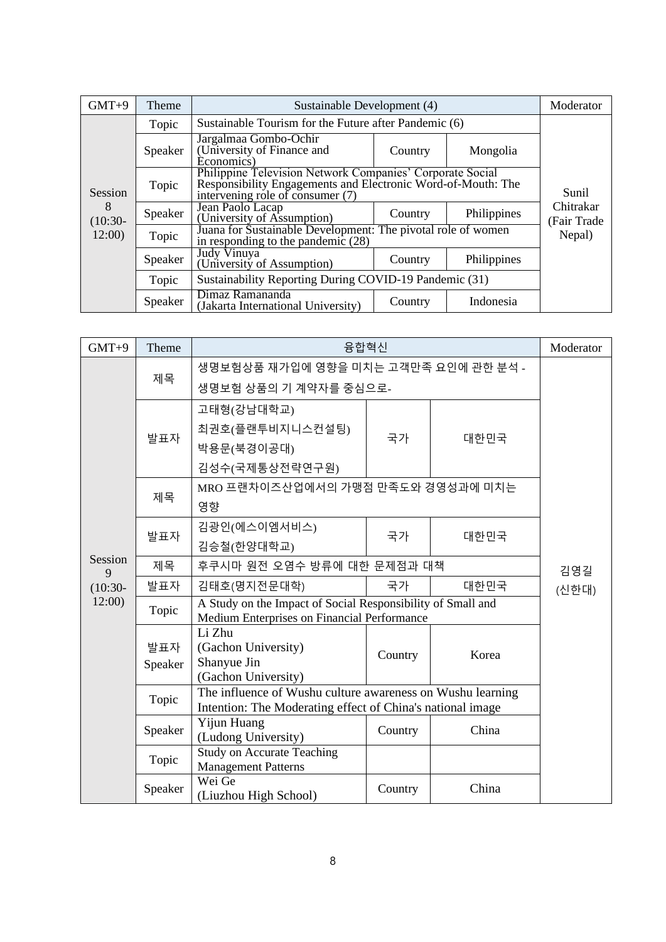| $GMT+9$        | Theme   | Sustainable Development (4)                                                                                                                                   | Moderator |             |                          |  |
|----------------|---------|---------------------------------------------------------------------------------------------------------------------------------------------------------------|-----------|-------------|--------------------------|--|
|                | Topic   | Sustainable Tourism for the Future after Pandemic (6)                                                                                                         |           |             |                          |  |
|                | Speaker | Jargalmaa Gombo-Ochir<br>(University of Finance and<br>Economics)                                                                                             | Country   | Mongolia    |                          |  |
| Session        | Topic   | Philippine Television Network Companies' Corporate Social<br>Responsibility Engagements and Electronic Word-of-Mouth: The<br>intervening role of consumer (7) | Sunil     |             |                          |  |
| 8<br>$(10:30-$ | Speaker | Jean Paolo Lacap<br>(University of Assumption)                                                                                                                | Country   | Philippines | Chitrakar<br>(Fair Trade |  |
| 12:00          | Topic   | Juana for Sustainable Development: The pivotal role of women<br>in responding to the pandemic (28)                                                            | Nepal)    |             |                          |  |
|                | Speaker | Judy Vinuya<br>(University of Assumption)                                                                                                                     | Country   | Philippines |                          |  |
|                | Topic   | Sustainability Reporting During COVID-19 Pandemic (31)                                                                                                        |           |             |                          |  |
|                | Speaker | Dimaz Ramananda<br>(Jakarta International University)                                                                                                         | Country   | Indonesia   |                          |  |

| $GMT+9$      | Theme          | 융합혁신                                                                                                                     |         |       | Moderator |  |
|--------------|----------------|--------------------------------------------------------------------------------------------------------------------------|---------|-------|-----------|--|
|              |                | 생명보험상품 재가입에 영향을 미치는 고객만족 요인에 관한 분석 -                                                                                     |         |       |           |  |
|              | 제목             | 생명보험 상품의 기 계약자를 중심으로-                                                                                                    |         |       |           |  |
|              |                | 고태형(강남대학교)                                                                                                               |         |       |           |  |
|              | 발표자            | 최권호(플랜투비지니스컨설팅)                                                                                                          | 국가      | 대한민국  |           |  |
|              |                | 박용문(북경이공대)                                                                                                               |         |       |           |  |
|              |                | 김성수(국제통상전략연구원)                                                                                                           |         |       |           |  |
|              | 제목             | MRO 프랜차이즈산업에서의 가맹점 만족도와 경영성과에 미치는                                                                                        |         |       |           |  |
|              |                | 영향                                                                                                                       |         |       |           |  |
|              | 발표자            | 김광인(에스이엠서비스)                                                                                                             | 국가      | 대한민국  |           |  |
|              |                | 김승철(한양대학교)                                                                                                               |         |       |           |  |
| Session<br>9 | 제목             | 후쿠시마 원전 오염수 방류에 대한 문제점과 대책                                                                                               | 김영길     |       |           |  |
| $(10:30 -$   | 발표자            | 김태호(명지전문대학)                                                                                                              | 국가      | 대한민국  | (신한대)     |  |
| 12:00        | Topic          | A Study on the Impact of Social Responsibility of Small and<br>Medium Enterprises on Financial Performance               |         |       |           |  |
|              | 발표자<br>Speaker | Li Zhu<br>(Gachon University)<br>Shanyue Jin<br>(Gachon University)                                                      | Country | Korea |           |  |
|              | Topic          | The influence of Wushu culture awareness on Wushu learning<br>Intention: The Moderating effect of China's national image |         |       |           |  |
|              | Speaker        | Yijun Huang<br>(Ludong University)                                                                                       | Country | China |           |  |
|              | Topic          | <b>Study on Accurate Teaching</b><br><b>Management Patterns</b>                                                          |         |       |           |  |
|              | Speaker        | Wei Ge<br>(Liuzhou High School)                                                                                          | Country | China |           |  |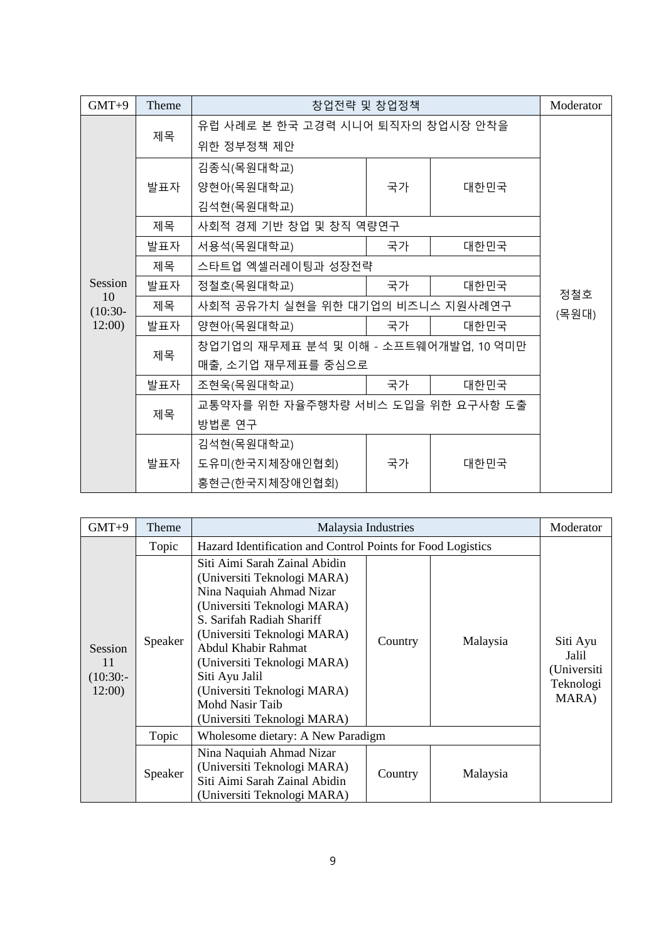| $GMT+9$         | Theme                             | 창업전략 및 창업정책                           | Moderator |      |     |
|-----------------|-----------------------------------|---------------------------------------|-----------|------|-----|
|                 | 유럽 사례로 본 한국 고경력 시니어 퇴직자의 창업시장 안착을 |                                       |           |      |     |
|                 | 제목                                | 위한 정부정책 제안                            |           |      |     |
|                 |                                   | 김종식(목원대학교)                            |           |      |     |
|                 | 발표자                               | 양현아(목원대학교)                            | 국가        | 대한민국 |     |
|                 |                                   | 김석현(목원대학교)                            |           |      |     |
|                 | 제목                                | 사회적 경제 기반 창업 및 창직 역량연구                |           |      |     |
|                 | 발표자                               | 서용석(목원대학교)                            | 국가        | 대한민국 |     |
|                 | 제목                                | 스타트업 엑셀러레이팅과 성장전략                     |           |      |     |
| Session         | 발표자                               | 정철호(목원대학교)                            | 국가        | 대한민국 | 정철호 |
| 10<br>$(10:30-$ | 제목                                | 사회적 공유가치 실현을 위한 대기업의 비즈니스 지원사례연구      | (목원대)     |      |     |
| 12:00           | 발표자                               | 양현아(목원대학교)                            | 국가        | 대한민국 |     |
|                 |                                   | 창업기업의 재무제표 분석 및 이해 - 소프트웨어개발업, 10 억미만 |           |      |     |
|                 | 제목                                | 매출, 소기업 재무제표를 중심으로                    |           |      |     |
|                 | 발표자                               | 조현욱(목원대학교)                            | 국가        | 대한민국 |     |
|                 | 제목                                | 교통약자를 위한 자율주행차량 서비스 도입을 위한 요구사항 도출    |           |      |     |
|                 |                                   | 방법론 연구                                |           |      |     |
|                 |                                   | 김석현(목원대학교)                            |           |      |     |
|                 | 발표자                               | 도유미(한국지체장애인협회)                        | 국가        | 대한민국 |     |
|                 |                                   | 홍현근(한국지체장애인협회)                        |           |      |     |

| $GMT+9$                                     | Theme   | Malaysia Industries                                                                                                                                                                                                                                                                                                                          |         |          | Moderator                                              |
|---------------------------------------------|---------|----------------------------------------------------------------------------------------------------------------------------------------------------------------------------------------------------------------------------------------------------------------------------------------------------------------------------------------------|---------|----------|--------------------------------------------------------|
|                                             | Topic   | Hazard Identification and Control Points for Food Logistics                                                                                                                                                                                                                                                                                  |         |          |                                                        |
| <b>Session</b><br>11<br>$(10:30:-$<br>12:00 | Speaker | Siti Aimi Sarah Zainal Abidin<br>(Universiti Teknologi MARA)<br>Nina Naquiah Ahmad Nizar<br>(Universiti Teknologi MARA)<br>S. Sarifah Radiah Shariff<br>(Universiti Teknologi MARA)<br>Abdul Khabir Rahmat<br>(Universiti Teknologi MARA)<br>Siti Ayu Jalil<br>(Universiti Teknologi MARA)<br>Mohd Nasir Taib<br>(Universiti Teknologi MARA) | Country | Malaysia | Siti Ayu<br>Jalil<br>(Universiti<br>Teknologi<br>MARA) |
|                                             | Topic   | Wholesome dietary: A New Paradigm                                                                                                                                                                                                                                                                                                            |         |          |                                                        |
|                                             | Speaker | Nina Naquiah Ahmad Nizar<br>(Universiti Teknologi MARA)<br>Siti Aimi Sarah Zainal Abidin<br>(Universiti Teknologi MARA)                                                                                                                                                                                                                      | Country | Malaysia |                                                        |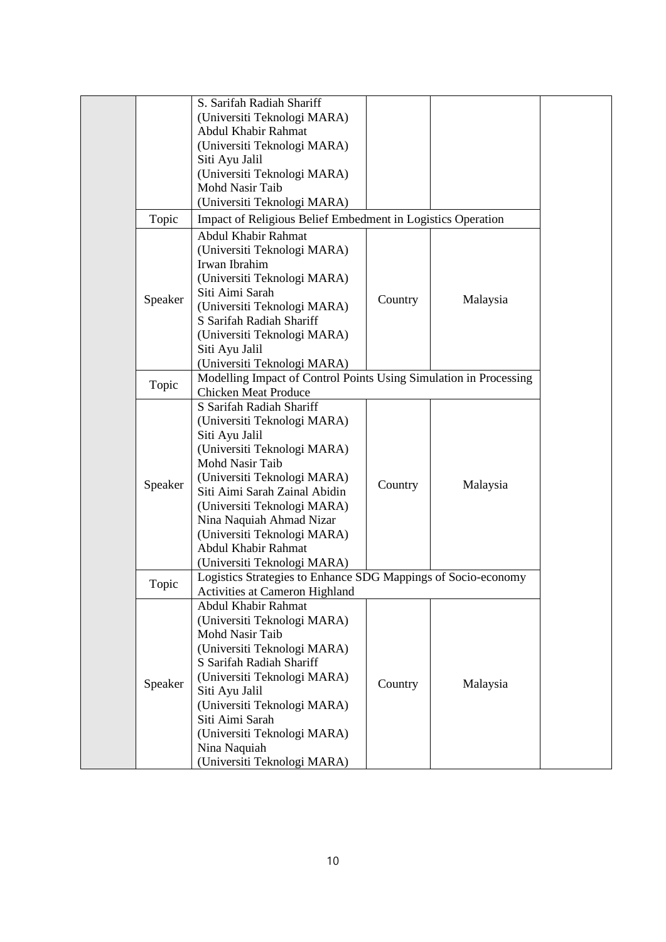| S. Sarifah Radiah Shariff<br>(Universiti Teknologi MARA)<br>Abdul Khabir Rahmat<br>(Universiti Teknologi MARA)<br>Siti Ayu Jalil<br>(Universiti Teknologi MARA)<br>Mohd Nasir Taib<br>(Universiti Teknologi MARA)<br>Topic<br>Impact of Religious Belief Embedment in Logistics Operation<br>Abdul Khabir Rahmat<br>(Universiti Teknologi MARA)<br>Irwan Ibrahim<br>(Universiti Teknologi MARA)<br>Siti Aimi Sarah<br>Speaker<br>Country<br>Malaysia<br>(Universiti Teknologi MARA)<br>S Sarifah Radiah Shariff<br>(Universiti Teknologi MARA)<br>Siti Ayu Jalil<br>(Universiti Teknologi MARA)<br>Modelling Impact of Control Points Using Simulation in Processing<br>Topic<br><b>Chicken Meat Produce</b><br>S Sarifah Radiah Shariff<br>(Universiti Teknologi MARA)<br>Siti Ayu Jalil<br>(Universiti Teknologi MARA)<br>Mohd Nasir Taib<br>(Universiti Teknologi MARA)<br>Speaker<br>Country<br>Malaysia<br>Siti Aimi Sarah Zainal Abidin<br>(Universiti Teknologi MARA)<br>Nina Naquiah Ahmad Nizar<br>(Universiti Teknologi MARA)<br>Abdul Khabir Rahmat<br>(Universiti Teknologi MARA)<br>Logistics Strategies to Enhance SDG Mappings of Socio-economy<br>Topic<br>Activities at Cameron Highland<br>Abdul Khabir Rahmat<br>(Universiti Teknologi MARA)<br>Mohd Nasir Taib<br>(Universiti Teknologi MARA)<br>S Sarifah Radiah Shariff<br>(Universiti Teknologi MARA)<br>Speaker<br>Country<br>Malaysia<br>Siti Ayu Jalil<br>(Universiti Teknologi MARA)<br>Siti Aimi Sarah<br>(Universiti Teknologi MARA)<br>Nina Naquiah |  |  |                             |  |  |  |  |  |
|-----------------------------------------------------------------------------------------------------------------------------------------------------------------------------------------------------------------------------------------------------------------------------------------------------------------------------------------------------------------------------------------------------------------------------------------------------------------------------------------------------------------------------------------------------------------------------------------------------------------------------------------------------------------------------------------------------------------------------------------------------------------------------------------------------------------------------------------------------------------------------------------------------------------------------------------------------------------------------------------------------------------------------------------------------------------------------------------------------------------------------------------------------------------------------------------------------------------------------------------------------------------------------------------------------------------------------------------------------------------------------------------------------------------------------------------------------------------------------------------------------------------------------------|--|--|-----------------------------|--|--|--|--|--|
|                                                                                                                                                                                                                                                                                                                                                                                                                                                                                                                                                                                                                                                                                                                                                                                                                                                                                                                                                                                                                                                                                                                                                                                                                                                                                                                                                                                                                                                                                                                                   |  |  |                             |  |  |  |  |  |
|                                                                                                                                                                                                                                                                                                                                                                                                                                                                                                                                                                                                                                                                                                                                                                                                                                                                                                                                                                                                                                                                                                                                                                                                                                                                                                                                                                                                                                                                                                                                   |  |  |                             |  |  |  |  |  |
|                                                                                                                                                                                                                                                                                                                                                                                                                                                                                                                                                                                                                                                                                                                                                                                                                                                                                                                                                                                                                                                                                                                                                                                                                                                                                                                                                                                                                                                                                                                                   |  |  |                             |  |  |  |  |  |
|                                                                                                                                                                                                                                                                                                                                                                                                                                                                                                                                                                                                                                                                                                                                                                                                                                                                                                                                                                                                                                                                                                                                                                                                                                                                                                                                                                                                                                                                                                                                   |  |  |                             |  |  |  |  |  |
|                                                                                                                                                                                                                                                                                                                                                                                                                                                                                                                                                                                                                                                                                                                                                                                                                                                                                                                                                                                                                                                                                                                                                                                                                                                                                                                                                                                                                                                                                                                                   |  |  |                             |  |  |  |  |  |
|                                                                                                                                                                                                                                                                                                                                                                                                                                                                                                                                                                                                                                                                                                                                                                                                                                                                                                                                                                                                                                                                                                                                                                                                                                                                                                                                                                                                                                                                                                                                   |  |  |                             |  |  |  |  |  |
|                                                                                                                                                                                                                                                                                                                                                                                                                                                                                                                                                                                                                                                                                                                                                                                                                                                                                                                                                                                                                                                                                                                                                                                                                                                                                                                                                                                                                                                                                                                                   |  |  |                             |  |  |  |  |  |
|                                                                                                                                                                                                                                                                                                                                                                                                                                                                                                                                                                                                                                                                                                                                                                                                                                                                                                                                                                                                                                                                                                                                                                                                                                                                                                                                                                                                                                                                                                                                   |  |  |                             |  |  |  |  |  |
|                                                                                                                                                                                                                                                                                                                                                                                                                                                                                                                                                                                                                                                                                                                                                                                                                                                                                                                                                                                                                                                                                                                                                                                                                                                                                                                                                                                                                                                                                                                                   |  |  |                             |  |  |  |  |  |
|                                                                                                                                                                                                                                                                                                                                                                                                                                                                                                                                                                                                                                                                                                                                                                                                                                                                                                                                                                                                                                                                                                                                                                                                                                                                                                                                                                                                                                                                                                                                   |  |  |                             |  |  |  |  |  |
|                                                                                                                                                                                                                                                                                                                                                                                                                                                                                                                                                                                                                                                                                                                                                                                                                                                                                                                                                                                                                                                                                                                                                                                                                                                                                                                                                                                                                                                                                                                                   |  |  |                             |  |  |  |  |  |
|                                                                                                                                                                                                                                                                                                                                                                                                                                                                                                                                                                                                                                                                                                                                                                                                                                                                                                                                                                                                                                                                                                                                                                                                                                                                                                                                                                                                                                                                                                                                   |  |  |                             |  |  |  |  |  |
|                                                                                                                                                                                                                                                                                                                                                                                                                                                                                                                                                                                                                                                                                                                                                                                                                                                                                                                                                                                                                                                                                                                                                                                                                                                                                                                                                                                                                                                                                                                                   |  |  |                             |  |  |  |  |  |
|                                                                                                                                                                                                                                                                                                                                                                                                                                                                                                                                                                                                                                                                                                                                                                                                                                                                                                                                                                                                                                                                                                                                                                                                                                                                                                                                                                                                                                                                                                                                   |  |  |                             |  |  |  |  |  |
|                                                                                                                                                                                                                                                                                                                                                                                                                                                                                                                                                                                                                                                                                                                                                                                                                                                                                                                                                                                                                                                                                                                                                                                                                                                                                                                                                                                                                                                                                                                                   |  |  |                             |  |  |  |  |  |
|                                                                                                                                                                                                                                                                                                                                                                                                                                                                                                                                                                                                                                                                                                                                                                                                                                                                                                                                                                                                                                                                                                                                                                                                                                                                                                                                                                                                                                                                                                                                   |  |  |                             |  |  |  |  |  |
|                                                                                                                                                                                                                                                                                                                                                                                                                                                                                                                                                                                                                                                                                                                                                                                                                                                                                                                                                                                                                                                                                                                                                                                                                                                                                                                                                                                                                                                                                                                                   |  |  |                             |  |  |  |  |  |
|                                                                                                                                                                                                                                                                                                                                                                                                                                                                                                                                                                                                                                                                                                                                                                                                                                                                                                                                                                                                                                                                                                                                                                                                                                                                                                                                                                                                                                                                                                                                   |  |  |                             |  |  |  |  |  |
|                                                                                                                                                                                                                                                                                                                                                                                                                                                                                                                                                                                                                                                                                                                                                                                                                                                                                                                                                                                                                                                                                                                                                                                                                                                                                                                                                                                                                                                                                                                                   |  |  |                             |  |  |  |  |  |
|                                                                                                                                                                                                                                                                                                                                                                                                                                                                                                                                                                                                                                                                                                                                                                                                                                                                                                                                                                                                                                                                                                                                                                                                                                                                                                                                                                                                                                                                                                                                   |  |  |                             |  |  |  |  |  |
|                                                                                                                                                                                                                                                                                                                                                                                                                                                                                                                                                                                                                                                                                                                                                                                                                                                                                                                                                                                                                                                                                                                                                                                                                                                                                                                                                                                                                                                                                                                                   |  |  |                             |  |  |  |  |  |
|                                                                                                                                                                                                                                                                                                                                                                                                                                                                                                                                                                                                                                                                                                                                                                                                                                                                                                                                                                                                                                                                                                                                                                                                                                                                                                                                                                                                                                                                                                                                   |  |  |                             |  |  |  |  |  |
|                                                                                                                                                                                                                                                                                                                                                                                                                                                                                                                                                                                                                                                                                                                                                                                                                                                                                                                                                                                                                                                                                                                                                                                                                                                                                                                                                                                                                                                                                                                                   |  |  |                             |  |  |  |  |  |
|                                                                                                                                                                                                                                                                                                                                                                                                                                                                                                                                                                                                                                                                                                                                                                                                                                                                                                                                                                                                                                                                                                                                                                                                                                                                                                                                                                                                                                                                                                                                   |  |  |                             |  |  |  |  |  |
|                                                                                                                                                                                                                                                                                                                                                                                                                                                                                                                                                                                                                                                                                                                                                                                                                                                                                                                                                                                                                                                                                                                                                                                                                                                                                                                                                                                                                                                                                                                                   |  |  |                             |  |  |  |  |  |
|                                                                                                                                                                                                                                                                                                                                                                                                                                                                                                                                                                                                                                                                                                                                                                                                                                                                                                                                                                                                                                                                                                                                                                                                                                                                                                                                                                                                                                                                                                                                   |  |  |                             |  |  |  |  |  |
|                                                                                                                                                                                                                                                                                                                                                                                                                                                                                                                                                                                                                                                                                                                                                                                                                                                                                                                                                                                                                                                                                                                                                                                                                                                                                                                                                                                                                                                                                                                                   |  |  |                             |  |  |  |  |  |
|                                                                                                                                                                                                                                                                                                                                                                                                                                                                                                                                                                                                                                                                                                                                                                                                                                                                                                                                                                                                                                                                                                                                                                                                                                                                                                                                                                                                                                                                                                                                   |  |  |                             |  |  |  |  |  |
|                                                                                                                                                                                                                                                                                                                                                                                                                                                                                                                                                                                                                                                                                                                                                                                                                                                                                                                                                                                                                                                                                                                                                                                                                                                                                                                                                                                                                                                                                                                                   |  |  |                             |  |  |  |  |  |
|                                                                                                                                                                                                                                                                                                                                                                                                                                                                                                                                                                                                                                                                                                                                                                                                                                                                                                                                                                                                                                                                                                                                                                                                                                                                                                                                                                                                                                                                                                                                   |  |  |                             |  |  |  |  |  |
|                                                                                                                                                                                                                                                                                                                                                                                                                                                                                                                                                                                                                                                                                                                                                                                                                                                                                                                                                                                                                                                                                                                                                                                                                                                                                                                                                                                                                                                                                                                                   |  |  |                             |  |  |  |  |  |
|                                                                                                                                                                                                                                                                                                                                                                                                                                                                                                                                                                                                                                                                                                                                                                                                                                                                                                                                                                                                                                                                                                                                                                                                                                                                                                                                                                                                                                                                                                                                   |  |  |                             |  |  |  |  |  |
|                                                                                                                                                                                                                                                                                                                                                                                                                                                                                                                                                                                                                                                                                                                                                                                                                                                                                                                                                                                                                                                                                                                                                                                                                                                                                                                                                                                                                                                                                                                                   |  |  |                             |  |  |  |  |  |
|                                                                                                                                                                                                                                                                                                                                                                                                                                                                                                                                                                                                                                                                                                                                                                                                                                                                                                                                                                                                                                                                                                                                                                                                                                                                                                                                                                                                                                                                                                                                   |  |  |                             |  |  |  |  |  |
|                                                                                                                                                                                                                                                                                                                                                                                                                                                                                                                                                                                                                                                                                                                                                                                                                                                                                                                                                                                                                                                                                                                                                                                                                                                                                                                                                                                                                                                                                                                                   |  |  |                             |  |  |  |  |  |
|                                                                                                                                                                                                                                                                                                                                                                                                                                                                                                                                                                                                                                                                                                                                                                                                                                                                                                                                                                                                                                                                                                                                                                                                                                                                                                                                                                                                                                                                                                                                   |  |  |                             |  |  |  |  |  |
|                                                                                                                                                                                                                                                                                                                                                                                                                                                                                                                                                                                                                                                                                                                                                                                                                                                                                                                                                                                                                                                                                                                                                                                                                                                                                                                                                                                                                                                                                                                                   |  |  |                             |  |  |  |  |  |
|                                                                                                                                                                                                                                                                                                                                                                                                                                                                                                                                                                                                                                                                                                                                                                                                                                                                                                                                                                                                                                                                                                                                                                                                                                                                                                                                                                                                                                                                                                                                   |  |  |                             |  |  |  |  |  |
|                                                                                                                                                                                                                                                                                                                                                                                                                                                                                                                                                                                                                                                                                                                                                                                                                                                                                                                                                                                                                                                                                                                                                                                                                                                                                                                                                                                                                                                                                                                                   |  |  |                             |  |  |  |  |  |
|                                                                                                                                                                                                                                                                                                                                                                                                                                                                                                                                                                                                                                                                                                                                                                                                                                                                                                                                                                                                                                                                                                                                                                                                                                                                                                                                                                                                                                                                                                                                   |  |  |                             |  |  |  |  |  |
|                                                                                                                                                                                                                                                                                                                                                                                                                                                                                                                                                                                                                                                                                                                                                                                                                                                                                                                                                                                                                                                                                                                                                                                                                                                                                                                                                                                                                                                                                                                                   |  |  |                             |  |  |  |  |  |
|                                                                                                                                                                                                                                                                                                                                                                                                                                                                                                                                                                                                                                                                                                                                                                                                                                                                                                                                                                                                                                                                                                                                                                                                                                                                                                                                                                                                                                                                                                                                   |  |  |                             |  |  |  |  |  |
|                                                                                                                                                                                                                                                                                                                                                                                                                                                                                                                                                                                                                                                                                                                                                                                                                                                                                                                                                                                                                                                                                                                                                                                                                                                                                                                                                                                                                                                                                                                                   |  |  |                             |  |  |  |  |  |
|                                                                                                                                                                                                                                                                                                                                                                                                                                                                                                                                                                                                                                                                                                                                                                                                                                                                                                                                                                                                                                                                                                                                                                                                                                                                                                                                                                                                                                                                                                                                   |  |  |                             |  |  |  |  |  |
|                                                                                                                                                                                                                                                                                                                                                                                                                                                                                                                                                                                                                                                                                                                                                                                                                                                                                                                                                                                                                                                                                                                                                                                                                                                                                                                                                                                                                                                                                                                                   |  |  |                             |  |  |  |  |  |
|                                                                                                                                                                                                                                                                                                                                                                                                                                                                                                                                                                                                                                                                                                                                                                                                                                                                                                                                                                                                                                                                                                                                                                                                                                                                                                                                                                                                                                                                                                                                   |  |  | (Universiti Teknologi MARA) |  |  |  |  |  |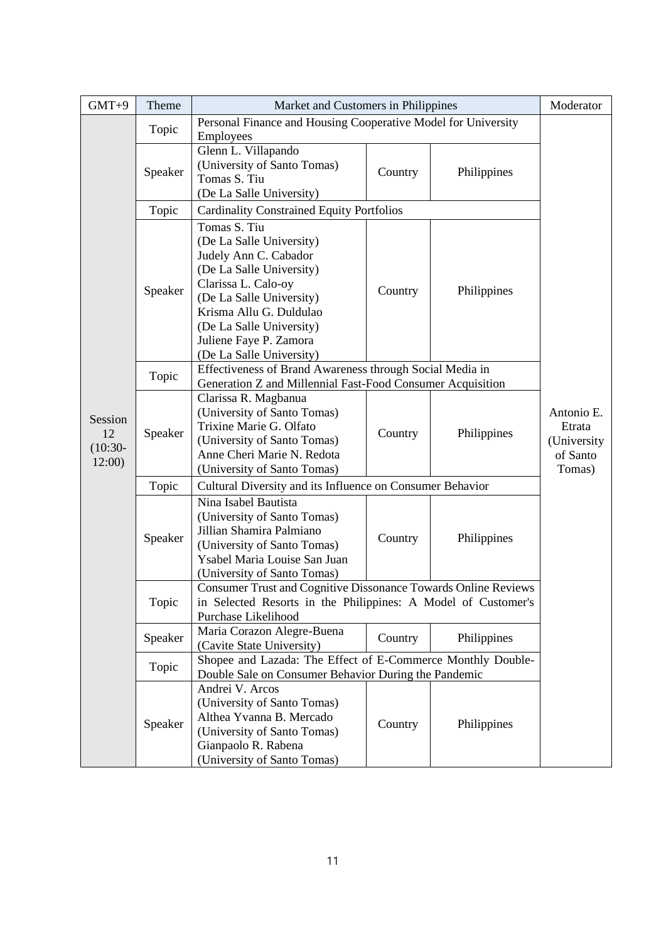| $GMT+9$                               | Theme   | Market and Customers in Philippines                                                                                                                                                                                                                           |         |             | Moderator                                                 |
|---------------------------------------|---------|---------------------------------------------------------------------------------------------------------------------------------------------------------------------------------------------------------------------------------------------------------------|---------|-------------|-----------------------------------------------------------|
|                                       | Topic   | Personal Finance and Housing Cooperative Model for University<br>Employees                                                                                                                                                                                    |         |             |                                                           |
|                                       | Speaker | Glenn L. Villapando<br>(University of Santo Tomas)<br>Tomas S. Tiu<br>(De La Salle University)                                                                                                                                                                | Country | Philippines |                                                           |
|                                       | Topic   | <b>Cardinality Constrained Equity Portfolios</b>                                                                                                                                                                                                              |         |             |                                                           |
|                                       | Speaker | Tomas S. Tiu<br>(De La Salle University)<br>Judely Ann C. Cabador<br>(De La Salle University)<br>Clarissa L. Calo-oy<br>(De La Salle University)<br>Krisma Allu G. Duldulao<br>(De La Salle University)<br>Juliene Faye P. Zamora<br>(De La Salle University) | Country | Philippines |                                                           |
|                                       | Topic   | Effectiveness of Brand Awareness through Social Media in<br>Generation Z and Millennial Fast-Food Consumer Acquisition                                                                                                                                        |         |             |                                                           |
| Session<br>12<br>$(10:30 -$<br>12:00) | Speaker | Clarissa R. Magbanua<br>(University of Santo Tomas)<br>Trixine Marie G. Olfato<br>(University of Santo Tomas)<br>Anne Cheri Marie N. Redota<br>(University of Santo Tomas)                                                                                    | Country | Philippines | Antonio E.<br>Etrata<br>(University<br>of Santo<br>Tomas) |
|                                       | Topic   | Cultural Diversity and its Influence on Consumer Behavior                                                                                                                                                                                                     |         |             |                                                           |
|                                       | Speaker | Nina Isabel Bautista<br>(University of Santo Tomas)<br>Jillian Shamira Palmiano<br>(University of Santo Tomas)<br>Ysabel Maria Louise San Juan<br>(University of Santo Tomas)                                                                                 | Country | Philippines |                                                           |
|                                       | Topic   | Consumer Trust and Cognitive Dissonance Towards Online Reviews<br>in Selected Resorts in the Philippines: A Model of Customer's<br>Purchase Likelihood                                                                                                        |         |             |                                                           |
|                                       | Speaker | Maria Corazon Alegre-Buena<br>(Cavite State University)                                                                                                                                                                                                       | Country | Philippines |                                                           |
|                                       | Topic   | Shopee and Lazada: The Effect of E-Commerce Monthly Double-<br>Double Sale on Consumer Behavior During the Pandemic                                                                                                                                           |         |             |                                                           |
|                                       | Speaker | Andrei V. Arcos<br>(University of Santo Tomas)<br>Althea Yvanna B. Mercado<br>(University of Santo Tomas)<br>Gianpaolo R. Rabena<br>(University of Santo Tomas)                                                                                               | Country | Philippines |                                                           |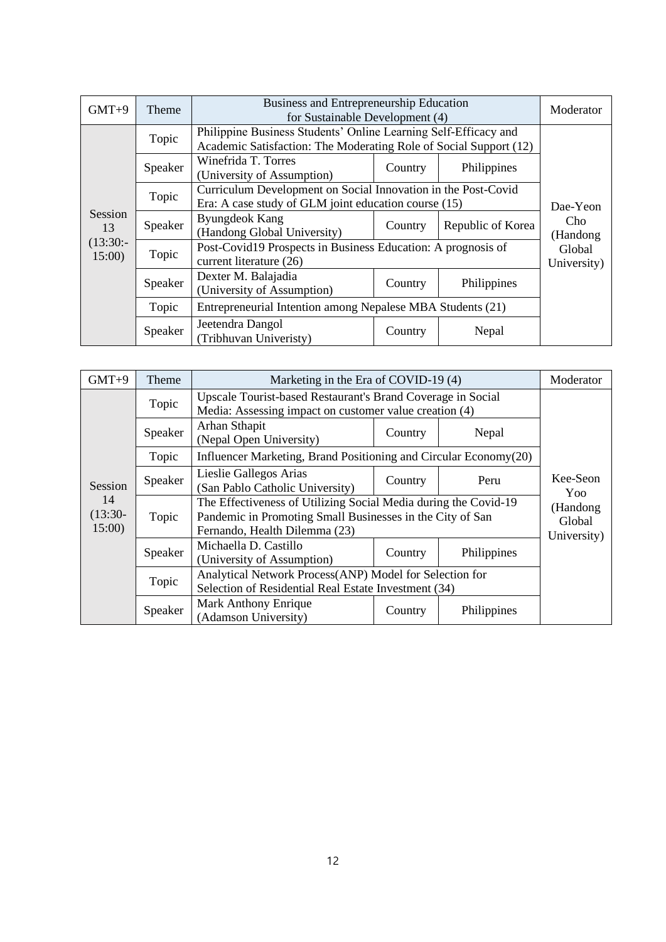| $GMT+9$              | Theme   | Business and Entrepreneurship Education<br>for Sustainable Development (4)                                                        | Moderator                                                                                                                            |                   |                   |  |  |  |
|----------------------|---------|-----------------------------------------------------------------------------------------------------------------------------------|--------------------------------------------------------------------------------------------------------------------------------------|-------------------|-------------------|--|--|--|
|                      | Topic   |                                                                                                                                   | Philippine Business Students' Online Learning Self-Efficacy and<br>Academic Satisfaction: The Moderating Role of Social Support (12) |                   |                   |  |  |  |
|                      | Speaker | Winefrida T. Torres<br>(University of Assumption)                                                                                 | Country                                                                                                                              | Philippines       |                   |  |  |  |
|                      | Topic   | Curriculum Development on Social Innovation in the Post-Covid<br>Era: A case study of GLM joint education course (15)<br>Dae-Yeon |                                                                                                                                      |                   |                   |  |  |  |
| <b>Session</b><br>13 | Speaker | <b>Byungdeok Kang</b><br>(Handong Global University)                                                                              | Country                                                                                                                              | Republic of Korea | Cho.<br>(Handong) |  |  |  |
| $(13:30:-$<br>15:00  | Topic   | Post-Covid19 Prospects in Business Education: A prognosis of<br>current literature (26)                                           | Global<br>University)                                                                                                                |                   |                   |  |  |  |
|                      | Speaker | Dexter M. Balajadia<br>(University of Assumption)                                                                                 | Country                                                                                                                              | Philippines       |                   |  |  |  |
|                      | Topic   | Entrepreneurial Intention among Nepalese MBA Students (21)                                                                        |                                                                                                                                      |                   |                   |  |  |  |
|                      | Speaker | Jeetendra Dangol<br>(Tribhuvan Univeristy)                                                                                        | Country<br>Nepal                                                                                                                     |                   |                   |  |  |  |

| $GMT+9$                  | Theme   | Marketing in the Era of COVID-19 (4)                                                                                                                          | Moderator                         |             |                 |
|--------------------------|---------|---------------------------------------------------------------------------------------------------------------------------------------------------------------|-----------------------------------|-------------|-----------------|
|                          | Topic   | Upscale Tourist-based Restaurant's Brand Coverage in Social<br>Media: Assessing impact on customer value creation (4)                                         |                                   |             |                 |
|                          | Speaker | Arhan Sthapit<br>(Nepal Open University)                                                                                                                      | Country                           | Nepal       |                 |
|                          | Topic   | Influencer Marketing, Brand Positioning and Circular Economy(20)                                                                                              |                                   |             |                 |
| Session                  | Speaker | Lieslie Gallegos Arias<br>(San Pablo Catholic University)                                                                                                     | Country                           | Peru        | Kee-Seon<br>Yoo |
| 14<br>$(13:30-$<br>15:00 | Topic   | The Effectiveness of Utilizing Social Media during the Covid-19<br>Pandemic in Promoting Small Businesses in the City of San<br>Fernando, Health Dilemma (23) | (Handong<br>Global<br>University) |             |                 |
|                          | Speaker | Michaella D. Castillo<br>(University of Assumption)                                                                                                           | Country                           | Philippines |                 |
|                          | Topic   | Analytical Network Process(ANP) Model for Selection for<br>Selection of Residential Real Estate Investment (34)                                               |                                   |             |                 |
|                          | Speaker | <b>Mark Anthony Enrique</b><br>(Adamson University)                                                                                                           |                                   |             |                 |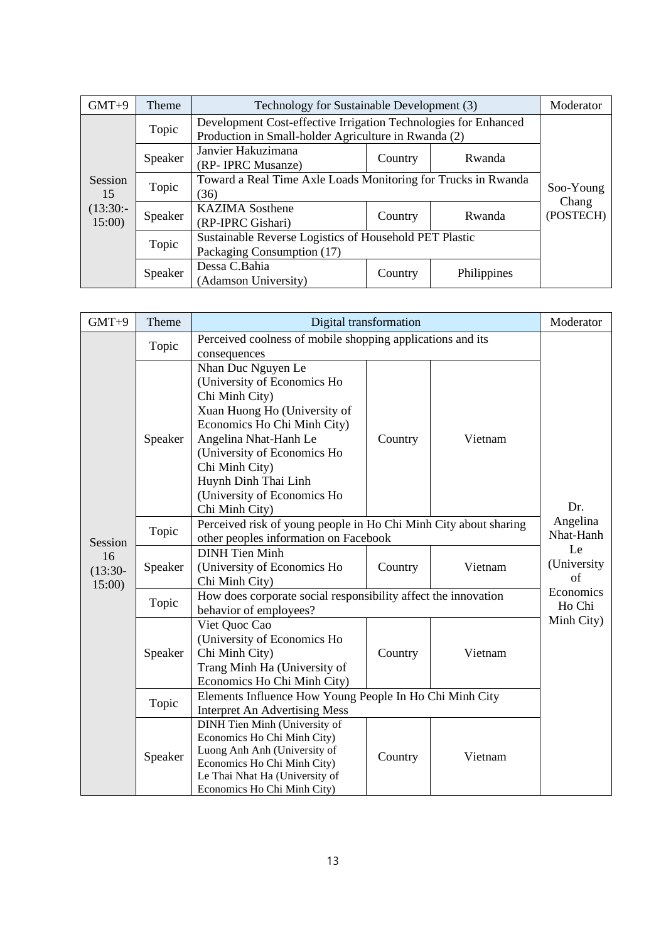| $GMT+9$             | <b>Theme</b> | Technology for Sustainable Development (3)                                           |                                                                                                                         |        | Moderator          |  |  |  |
|---------------------|--------------|--------------------------------------------------------------------------------------|-------------------------------------------------------------------------------------------------------------------------|--------|--------------------|--|--|--|
| Session<br>15       | Topic        |                                                                                      | Development Cost-effective Irrigation Technologies for Enhanced<br>Production in Small-holder Agriculture in Rwanda (2) |        |                    |  |  |  |
|                     | Speaker      | Janvier Hakuzimana<br>(RP- IPRC Musanze)                                             | Country                                                                                                                 | Rwanda |                    |  |  |  |
|                     | Topic        | Toward a Real Time Axle Loads Monitoring for Trucks in Rwanda<br>(36)                | Soo-Young                                                                                                               |        |                    |  |  |  |
| $(13:30:-$<br>15:00 | Speaker      | <b>KAZIMA</b> Sosthene<br>(RP-IPRC Gishari)                                          | Country                                                                                                                 | Rwanda | Chang<br>(POSTECH) |  |  |  |
|                     | Topic        | Sustainable Reverse Logistics of Household PET Plastic<br>Packaging Consumption (17) |                                                                                                                         |        |                    |  |  |  |
|                     | Speaker      | Dessa C.Bahia<br>(Adamson University)                                                | Philippines<br>Country                                                                                                  |        |                    |  |  |  |

| $GMT+9$                   | Theme   | Digital transformation                                                                                                                                                                                                                                                                | Moderator             |         |                         |
|---------------------------|---------|---------------------------------------------------------------------------------------------------------------------------------------------------------------------------------------------------------------------------------------------------------------------------------------|-----------------------|---------|-------------------------|
|                           | Topic   | Perceived coolness of mobile shopping applications and its<br>consequences                                                                                                                                                                                                            |                       |         |                         |
|                           | Speaker | Nhan Duc Nguyen Le<br>(University of Economics Ho<br>Chi Minh City)<br>Xuan Huong Ho (University of<br>Economics Ho Chi Minh City)<br>Angelina Nhat-Hanh Le<br>(University of Economics Ho<br>Chi Minh City)<br>Huynh Dinh Thai Linh<br>(University of Economics Ho<br>Chi Minh City) | Country               | Vietnam | Dr.                     |
| Session                   | Topic   | Perceived risk of young people in Ho Chi Minh City about sharing<br>other peoples information on Facebook                                                                                                                                                                             | Angelina<br>Nhat-Hanh |         |                         |
| 16<br>$(13:30 -$<br>15:00 | Speaker | <b>DINH</b> Tien Minh<br>(University of Economics Ho<br>Chi Minh City)                                                                                                                                                                                                                | Country               | Vietnam | Le<br>(University<br>of |
|                           | Topic   | How does corporate social responsibility affect the innovation<br>behavior of employees?                                                                                                                                                                                              | Economics<br>Ho Chi   |         |                         |
|                           | Speaker | Viet Quoc Cao<br>(University of Economics Ho<br>Chi Minh City)<br>Trang Minh Ha (University of<br>Economics Ho Chi Minh City)                                                                                                                                                         | Country               | Vietnam | Minh City)              |
|                           | Topic   | Elements Influence How Young People In Ho Chi Minh City<br><b>Interpret An Advertising Mess</b>                                                                                                                                                                                       |                       |         |                         |
|                           | Speaker | <b>DINH</b> Tien Minh (University of<br>Economics Ho Chi Minh City)<br>Luong Anh Anh (University of<br>Economics Ho Chi Minh City)<br>Le Thai Nhat Ha (University of<br>Economics Ho Chi Minh City)                                                                                   | Country               | Vietnam |                         |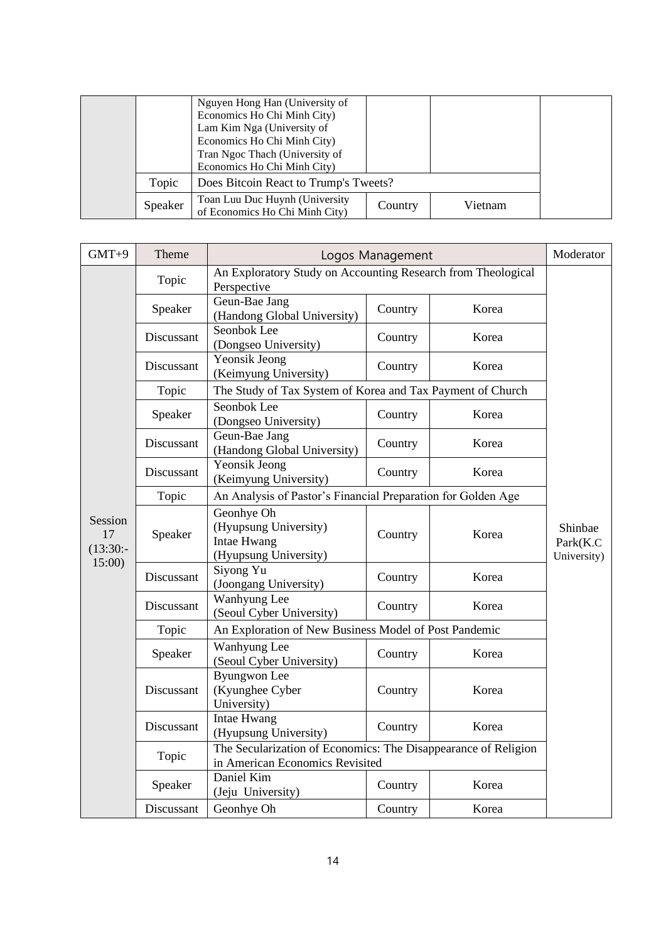|         | Nguyen Hong Han (University of<br>Economics Ho Chi Minh City)<br>Lam Kim Nga (University of<br>Economics Ho Chi Minh City)<br>Tran Ngoc Thach (University of<br>Economics Ho Chi Minh City) |         |         |  |
|---------|---------------------------------------------------------------------------------------------------------------------------------------------------------------------------------------------|---------|---------|--|
| Topic   | Does Bitcoin React to Trump's Tweets?                                                                                                                                                       |         |         |  |
| Speaker | Toan Luu Duc Huynh (University<br>of Economics Ho Chi Minh City)                                                                                                                            | Country | Vietnam |  |

| $GMT+9$                     | Theme      | Logos Management                                                                                  |         |       | Moderator                          |
|-----------------------------|------------|---------------------------------------------------------------------------------------------------|---------|-------|------------------------------------|
|                             | Topic      | An Exploratory Study on Accounting Research from Theological<br>Perspective                       |         |       |                                    |
|                             | Speaker    | Geun-Bae Jang<br>(Handong Global University)                                                      | Country | Korea |                                    |
|                             | Discussant | Seonbok Lee<br>(Dongseo University)                                                               | Country | Korea |                                    |
|                             | Discussant | Yeonsik Jeong<br>(Keimyung University)                                                            | Country | Korea |                                    |
|                             | Topic      | The Study of Tax System of Korea and Tax Payment of Church                                        |         |       |                                    |
|                             | Speaker    | Seonbok Lee<br>(Dongseo University)                                                               | Country | Korea |                                    |
|                             | Discussant | Geun-Bae Jang<br>(Handong Global University)                                                      | Country | Korea |                                    |
|                             | Discussant | Yeonsik Jeong<br>(Keimyung University)                                                            | Country | Korea |                                    |
|                             | Topic      | An Analysis of Pastor's Financial Preparation for Golden Age                                      |         |       |                                    |
| Session<br>17<br>$(13:30:-$ | Speaker    | Geonhye Oh<br>(Hyupsung University)<br>Intae Hwang<br>(Hyupsung University)                       | Country | Korea | Shinbae<br>Park(K.C<br>University) |
| 15:00                       | Discussant | Siyong Yu<br>(Joongang University)                                                                | Country | Korea |                                    |
|                             | Discussant | Wanhyung Lee<br>(Seoul Cyber University)                                                          | Country | Korea |                                    |
|                             | Topic      | An Exploration of New Business Model of Post Pandemic                                             |         |       |                                    |
|                             | Speaker    | Wanhyung Lee<br>(Seoul Cyber University)                                                          | Country | Korea |                                    |
|                             | Discussant | <b>Byungwon</b> Lee<br>(Kyunghee Cyber<br>University)                                             | Country | Korea |                                    |
|                             | Discussant | Intae Hwang<br>(Hyupsung University)                                                              | Country | Korea |                                    |
|                             | Topic      | The Secularization of Economics: The Disappearance of Religion<br>in American Economics Revisited |         |       |                                    |
|                             | Speaker    | Daniel Kim<br>(Jeju University)                                                                   | Country | Korea |                                    |
|                             | Discussant | Geonhye Oh                                                                                        | Country | Korea |                                    |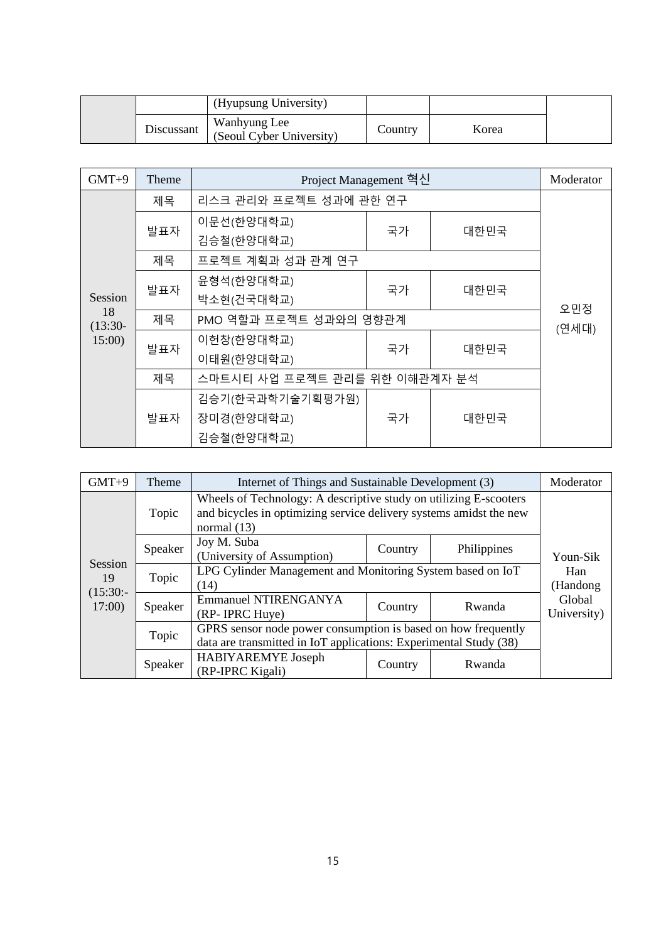|            | (Hyupsung University)                    |         |       |  |
|------------|------------------------------------------|---------|-------|--|
| Discussant | Wanhyung Lee<br>(Seoul Cyber University) | Country | Korea |  |

| $GMT+9$         | Theme | Project Management 혁신         |    |      | Moderator |
|-----------------|-------|-------------------------------|----|------|-----------|
|                 | 제목    | 리스크 관리와 프로젝트 성과에 관한 연구        |    |      |           |
|                 |       | 이문선(한양대학교)                    |    | 대한민국 |           |
|                 | 발표자   | 김승철(한양대학교)                    | 국가 |      |           |
|                 | 제목    | 프로젝트 계획과 성과 관계 연구             |    |      |           |
|                 | 발표자   | 윤형석(한양대학교)                    | 국가 | 대한민국 | 오민정       |
| Session         |       | 박소현(건국대학교)                    |    |      |           |
| 18<br>$(13:30-$ | 제목    | PMO 역할과 프로젝트 성과와의 영향관계        |    |      | (연세대)     |
| 15:00           | 발표자   | 이헌창(한양대학교)                    | 국가 | 대한민국 |           |
|                 |       | 이태원(한양대학교)                    |    |      |           |
|                 | 제목    | 스마트시티 사업 프로젝트 관리를 위한 이해관계자 분석 |    |      |           |
|                 | 발표자   | 김승기(한국과학기술기획평가원)              |    |      |           |
|                 |       | 장미경(한양대학교)                    | 국가 | 대한민국 |           |
|                 |       | 김승철(한양대학교)                    |    |      |           |

| $GMT+9$             | Theme   | Internet of Things and Sustainable Development (3)                                                                                                       | Moderator        |             |                       |
|---------------------|---------|----------------------------------------------------------------------------------------------------------------------------------------------------------|------------------|-------------|-----------------------|
|                     | Topic   | Wheels of Technology: A descriptive study on utilizing E-scooters<br>and bicycles in optimizing service delivery systems amidst the new<br>normal $(13)$ |                  |             |                       |
|                     | Speaker | Joy M. Suba<br>(University of Assumption)                                                                                                                | Country          | Philippines | Youn-Sik              |
| Session<br>19       | Topic   | LPG Cylinder Management and Monitoring System based on IoT<br>(14)                                                                                       | Han<br>(Handong) |             |                       |
| $(15:30:-$<br>17:00 | Speaker | <b>Emmanuel NTIRENGANYA</b><br>(RP- IPRC Huye)                                                                                                           | Country          | Rwanda      | Global<br>University) |
|                     | Topic   | GPRS sensor node power consumption is based on how frequently<br>data are transmitted in IoT applications: Experimental Study (38)                       |                  |             |                       |
|                     | Speaker | HABIYAREMYE Joseph<br>(RP-IPRC Kigali)                                                                                                                   |                  |             |                       |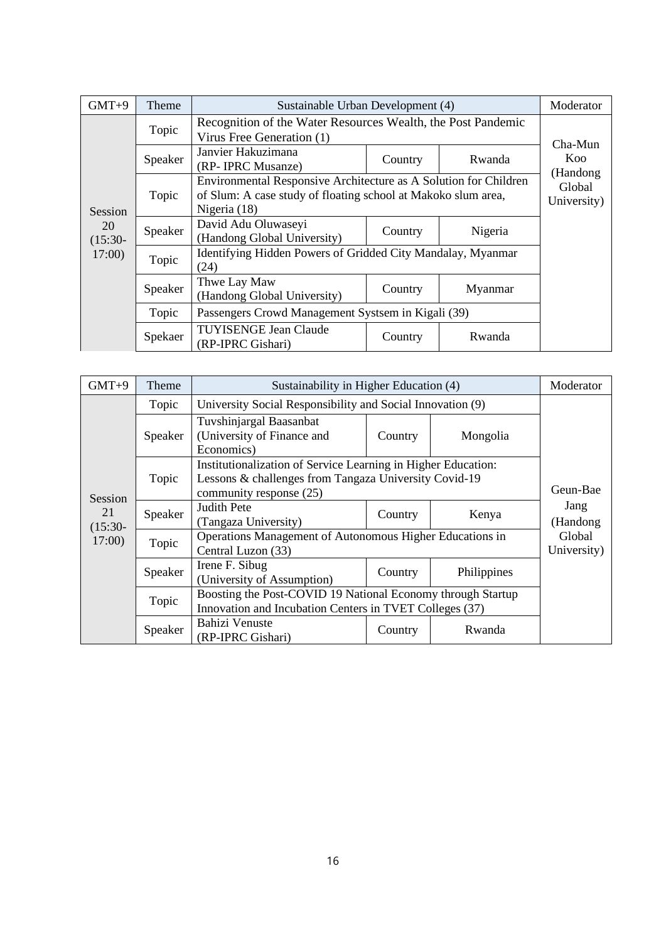| $GMT+9$         | Theme   | Sustainable Urban Development (4)                                                                                                                   |         |         | Moderator             |  |
|-----------------|---------|-----------------------------------------------------------------------------------------------------------------------------------------------------|---------|---------|-----------------------|--|
|                 | Topic   | Recognition of the Water Resources Wealth, the Post Pandemic<br>Virus Free Generation (1)                                                           |         |         | Cha-Mun               |  |
|                 | Speaker | Janvier Hakuzimana<br>(RP- IPRC Musanze)                                                                                                            | Country | Rwanda  | Koo<br>(Handong       |  |
| <b>Session</b>  | Topic   | Environmental Responsive Architecture as A Solution for Children<br>of Slum: A case study of floating school at Makoko slum area,<br>Nigeria $(18)$ |         |         | Global<br>University) |  |
| 20<br>$(15:30-$ | Speaker | David Adu Oluwaseyi<br>(Handong Global University)                                                                                                  | Country | Nigeria |                       |  |
| 17:00           | Topic   | Identifying Hidden Powers of Gridded City Mandalay, Myanmar<br>(24)                                                                                 |         |         |                       |  |
|                 | Speaker | Thwe Lay Maw<br>(Handong Global University)                                                                                                         | Country | Myanmar |                       |  |
|                 | Topic   | Passengers Crowd Management Systsem in Kigali (39)                                                                                                  |         |         |                       |  |
|                 | Spekaer | <b>TUYISENGE Jean Claude</b><br>(RP-IPRC Gishari)                                                                                                   | Country | Rwanda  |                       |  |

| $GMT+9$         | Theme   | Sustainability in Higher Education (4)                                                                                                            |                       |             | Moderator        |
|-----------------|---------|---------------------------------------------------------------------------------------------------------------------------------------------------|-----------------------|-------------|------------------|
|                 | Topic   | University Social Responsibility and Social Innovation (9)                                                                                        |                       |             |                  |
|                 | Speaker | Tuvshinjargal Baasanbat<br>(University of Finance and<br>Economics)                                                                               | Country               | Mongolia    |                  |
| <b>Session</b>  | Topic   | Institutionalization of Service Learning in Higher Education:<br>Lessons & challenges from Tangaza University Covid-19<br>community response (25) | Geun-Bae              |             |                  |
| 21<br>$(15:30-$ | Speaker | <b>Judith Pete</b><br>(Tangaza University)                                                                                                        | Country               | Kenya       | Jang<br>(Handong |
| 17:00           | Topic   | Operations Management of Autonomous Higher Educations in<br>Central Luzon (33)                                                                    | Global<br>University) |             |                  |
|                 | Speaker | Irene F. Sibug<br>(University of Assumption)                                                                                                      | Country               | Philippines |                  |
|                 | Topic   | Boosting the Post-COVID 19 National Economy through Startup<br>Innovation and Incubation Centers in TVET Colleges (37)                            |                       |             |                  |
|                 | Speaker | Bahizi Venuste<br>(RP-IPRC Gishari)                                                                                                               | Country               | Rwanda      |                  |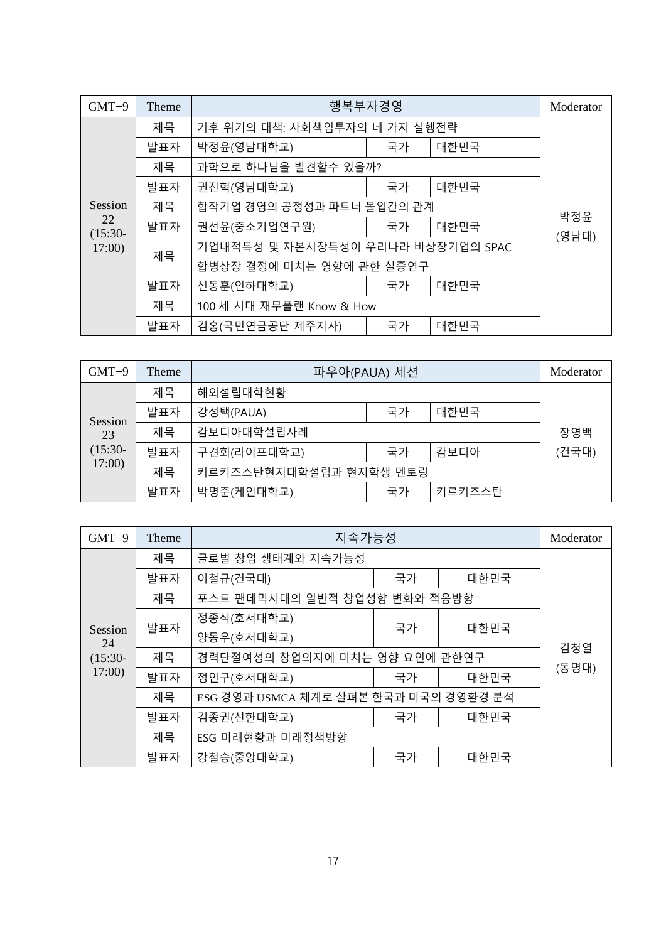| $GMT+9$                    | Theme | 행복부자경영                            |    |      | Moderator    |  |
|----------------------------|-------|-----------------------------------|----|------|--------------|--|
|                            | 제목    | 기후 위기의 대책: 사회책임투자의 네 가지 실행전략      |    |      |              |  |
|                            | 발표자   | 박정윤(영남대학교)                        | 국가 | 대한민국 |              |  |
|                            | 제목    | 과학으로 하나님을 발견할수 있을까?               |    |      |              |  |
|                            | 발표자   | 권진혁(영남대학교)                        | 국가 | 대한민국 |              |  |
| Session<br>22<br>$(15:30-$ | 제목    | 합작기업 경영의 공정성과 파트너 몰입간의 관계         |    |      |              |  |
|                            | 발표자   | 권선윤(중소기업연구원)                      | 국가 | 대한민국 | 박정윤<br>(영남대) |  |
| 17:00                      |       | 기업내적특성 및 자본시장특성이 우리나라 비상장기업의 SPAC |    |      |              |  |
|                            | 제목    | 합병상장 결정에 미치는 영향에 관한 실증연구          |    |      |              |  |
|                            | 발표자   | 신동훈(인하대학교)                        | 국가 | 대한민국 |              |  |
|                            | 제목    | 100 세 시대 재무플랜 Know & How          |    |      |              |  |
|                            | 발표자   | 김홍(국민연금공단 제주지사)<br>대한민국<br>국가     |    |      |              |  |

| $GMT+9$                  | Theme | 파우아(PAUA) 세션           |    |        | Moderator |
|--------------------------|-------|------------------------|----|--------|-----------|
|                          | 제목    | 해외설립대학현황               |    |        |           |
| Session                  | 발표자   | 강성택(PAUA)              | 국가 | 대한민국   |           |
| 23<br>$(15:30-$<br>17:00 | 제목    | 캄보디아대학설립사례             |    |        | 장영백       |
|                          | 발표자   | 구견회(라이프대학교)            | 국가 | 캄보디아   | (건국대)     |
|                          | 제목    | 키르키즈스탄현지대학설립과 현지학생 멘토링 |    |        |           |
|                          | 발표자   | 박명준(케인대학교)             | 국가 | 키르키즈스탄 |           |

| $GMT+9$       | Theme | 지속가능성                                 |    |      | Moderator |
|---------------|-------|---------------------------------------|----|------|-----------|
|               | 제목    | 글로벌 창업 생태계와 지속가능성                     |    |      |           |
|               | 발표자   | 이철규(건국대)                              | 국가 | 대한민국 |           |
|               | 제목    | 포스트 팬데믹시대의 일반적 창업성향 변화와 적응방향          |    |      |           |
|               | 발표자   | 정종식(호서대학교)                            |    | 대한민국 |           |
| Session<br>24 |       | 양동우(호서대학교)                            | 국가 |      |           |
| $(15:30-$     | 제목    | 경력단절여성의 창업의지에 미치는 영향 요인에 관한연구         |    |      | 김청열       |
| 17:00         | 발표자   | 정인구(호서대학교)                            | 국가 | 대한민국 | (동명대)     |
|               | 제목    | ESG 경영과 USMCA 체계로 살펴본 한국과 미국의 경영환경 분석 |    |      |           |
|               | 발표자   | 김종권(신한대학교)                            | 국가 | 대한민국 |           |
|               | 제목    | ESG 미래현황과 미래정책방향                      |    |      |           |
|               | 발표자   | 강철승(중앙대학교)                            | 국가 | 대한민국 |           |